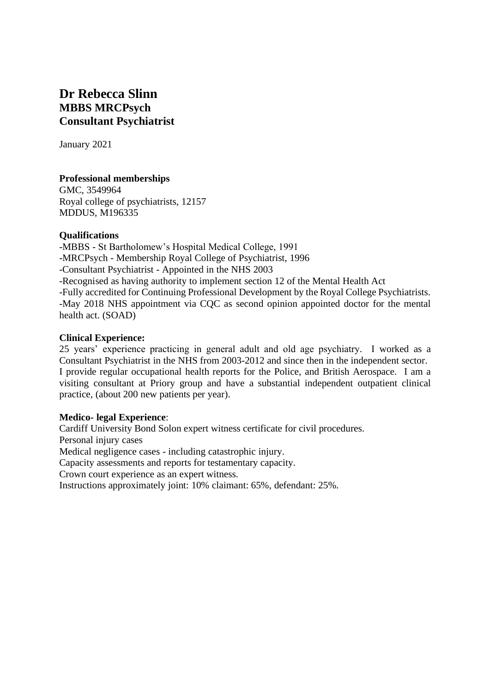# **Dr Rebecca Slinn MBBS MRCPsych Consultant Psychiatrist**

January 2021

## **Professional memberships**

GMC, 3549964 Royal college of psychiatrists, 12157 MDDUS, M196335

#### **Qualifications**

-MBBS - St Bartholomew's Hospital Medical College, 1991 -MRCPsych - Membership Royal College of Psychiatrist, 1996 -Consultant Psychiatrist - Appointed in the NHS 2003 -Recognised as having authority to implement section 12 of the Mental Health Act -Fully accredited for Continuing Professional Development by the Royal College Psychiatrists. -May 2018 NHS appointment via CQC as second opinion appointed doctor for the mental health act. (SOAD)

#### **Clinical Experience:**

25 years' experience practicing in general adult and old age psychiatry. I worked as a Consultant Psychiatrist in the NHS from 2003-2012 and since then in the independent sector. I provide regular occupational health reports for the Police, and British Aerospace. I am a visiting consultant at Priory group and have a substantial independent outpatient clinical practice, (about 200 new patients per year).

## **Medico- legal Experience**:

Cardiff University Bond Solon expert witness certificate for civil procedures.

Personal injury cases

Medical negligence cases - including catastrophic injury.

Capacity assessments and reports for testamentary capacity.

Crown court experience as an expert witness.

Instructions approximately joint: 10% claimant: 65%, defendant: 25%.